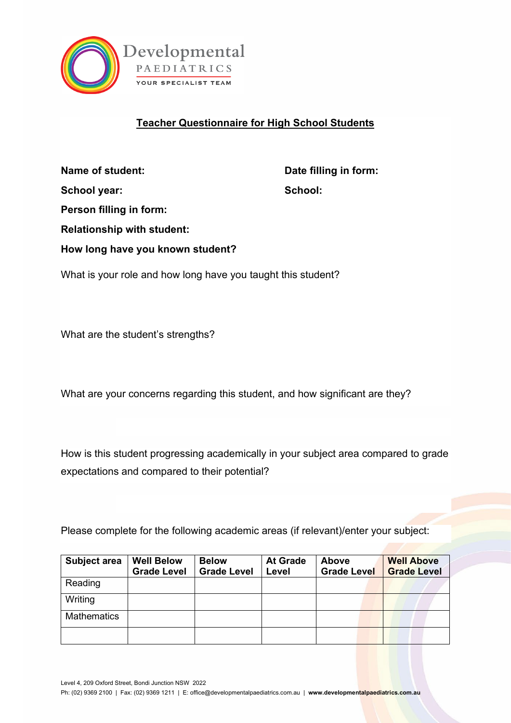

## **Teacher Questionnaire for High School Students**

**Name of student:** Date filling in form: School year: School: School: School: School: School: School: School: School: School: School: School: School: School: School: School: School: School: School: School: School: School: School: School: School: School: School: S **Person filling in form: Relationship with student: How long have you known student?**

What is your role and how long have you taught this student?

What are the student's strengths?

What are your concerns regarding this student, and how significant are they?

How is this student progressing academically in your subject area compared to grade expectations and compared to their potential?

Please complete for the following academic areas (if relevant)/enter your subject:

| Subject area       | <b>Well Below</b><br><b>Grade Level</b> | <b>Below</b><br><b>Grade Level</b> | <b>At Grade</b><br>Level | <b>Above</b><br><b>Grade Level</b> | <b>Well Above</b><br><b>Grade Level</b> |
|--------------------|-----------------------------------------|------------------------------------|--------------------------|------------------------------------|-----------------------------------------|
| Reading            |                                         |                                    |                          |                                    |                                         |
| Writing            |                                         |                                    |                          |                                    |                                         |
| <b>Mathematics</b> |                                         |                                    |                          |                                    |                                         |
|                    |                                         |                                    |                          |                                    |                                         |